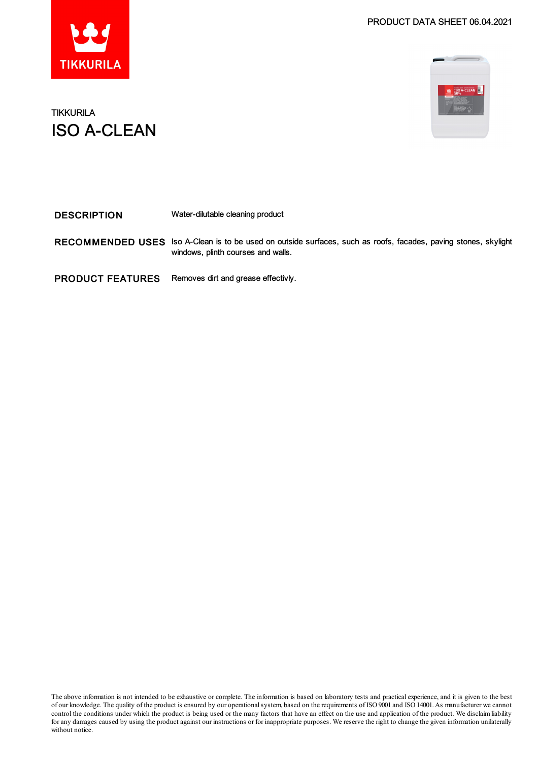



## TIKKURILA ISO A-CLEAN

| <b>DESCRIPTION</b>      | Water-dilutable cleaning product                                                                                                     |
|-------------------------|--------------------------------------------------------------------------------------------------------------------------------------|
| <b>RECOMMENDED USES</b> | Iso A-Clean is to be used on outside surfaces, such as roofs, facades, paving stones, skylight<br>windows, plinth courses and walls. |
| <b>PRODUCT FEATURES</b> | Removes dirt and grease effectivly.                                                                                                  |

The above information is not intended to be exhaustive or complete. The information is based on laboratory tests and practical experience, and it is given to the best of our knowledge. The quality of the product is ensured by our operationalsystem, based on the requirements of ISO9001 and ISO14001.As manufacturer we cannot control the conditions under which the product is being used or the many factors that have an effect on the use and application of the product. We disclaimliability forany damages caused by using the product against our instructions or for inappropriate purposes. We reserve the right to change the given information unilaterally without notice.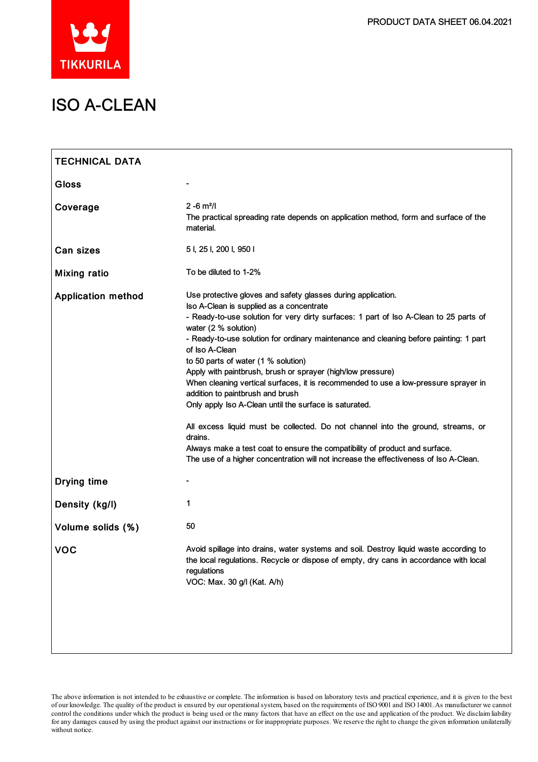

# ISO A-CLEAN

| <b>TECHNICAL DATA</b>     |                                                                                                                                                                                                                                                                                                                                                                                                                                                                                                                                                                                                                                                                                                                                                                                                                                                                                                        |
|---------------------------|--------------------------------------------------------------------------------------------------------------------------------------------------------------------------------------------------------------------------------------------------------------------------------------------------------------------------------------------------------------------------------------------------------------------------------------------------------------------------------------------------------------------------------------------------------------------------------------------------------------------------------------------------------------------------------------------------------------------------------------------------------------------------------------------------------------------------------------------------------------------------------------------------------|
| <b>Gloss</b>              |                                                                                                                                                                                                                                                                                                                                                                                                                                                                                                                                                                                                                                                                                                                                                                                                                                                                                                        |
| Coverage                  | $2 - 6$ m <sup>2</sup> /l<br>The practical spreading rate depends on application method, form and surface of the<br>material.                                                                                                                                                                                                                                                                                                                                                                                                                                                                                                                                                                                                                                                                                                                                                                          |
| Can sizes                 | 5 I, 25 I, 200 I, 950 I                                                                                                                                                                                                                                                                                                                                                                                                                                                                                                                                                                                                                                                                                                                                                                                                                                                                                |
| <b>Mixing ratio</b>       | To be diluted to 1-2%                                                                                                                                                                                                                                                                                                                                                                                                                                                                                                                                                                                                                                                                                                                                                                                                                                                                                  |
| <b>Application method</b> | Use protective gloves and safety glasses during application.<br>Iso A-Clean is supplied as a concentrate<br>- Ready-to-use solution for very dirty surfaces: 1 part of lso A-Clean to 25 parts of<br>water (2 % solution)<br>- Ready-to-use solution for ordinary maintenance and cleaning before painting: 1 part<br>of Iso A-Clean<br>to 50 parts of water (1 % solution)<br>Apply with paintbrush, brush or sprayer (high/low pressure)<br>When cleaning vertical surfaces, it is recommended to use a low-pressure sprayer in<br>addition to paintbrush and brush<br>Only apply Iso A-Clean until the surface is saturated.<br>All excess liquid must be collected. Do not channel into the ground, streams, or<br>drains.<br>Always make a test coat to ensure the compatibility of product and surface.<br>The use of a higher concentration will not increase the effectiveness of Iso A-Clean. |
| <b>Drying time</b>        | $\blacksquare$                                                                                                                                                                                                                                                                                                                                                                                                                                                                                                                                                                                                                                                                                                                                                                                                                                                                                         |
| Density (kg/l)            | 1                                                                                                                                                                                                                                                                                                                                                                                                                                                                                                                                                                                                                                                                                                                                                                                                                                                                                                      |
| Volume solids (%)         | 50                                                                                                                                                                                                                                                                                                                                                                                                                                                                                                                                                                                                                                                                                                                                                                                                                                                                                                     |
| <b>VOC</b>                | Avoid spillage into drains, water systems and soil. Destroy liquid waste according to<br>the local regulations. Recycle or dispose of empty, dry cans in accordance with local<br>regulations<br>VOC: Max. 30 g/l (Kat. A/h)                                                                                                                                                                                                                                                                                                                                                                                                                                                                                                                                                                                                                                                                           |

The above information is not intended to be exhaustive or complete. The information is based on laboratory tests and practical experience, and it is given to the best of our knowledge. The quality of the product is ensured by our operationalsystem, based on the requirements of ISO9001 and ISO14001.As manufacturer we cannot control the conditions under which the product is being used or the many factors that have an effect on the use and application of the product. We disclaimliability forany damages caused by using the product against our instructions or for inappropriate purposes. We reserve the right to change the given information unilaterally without notice.